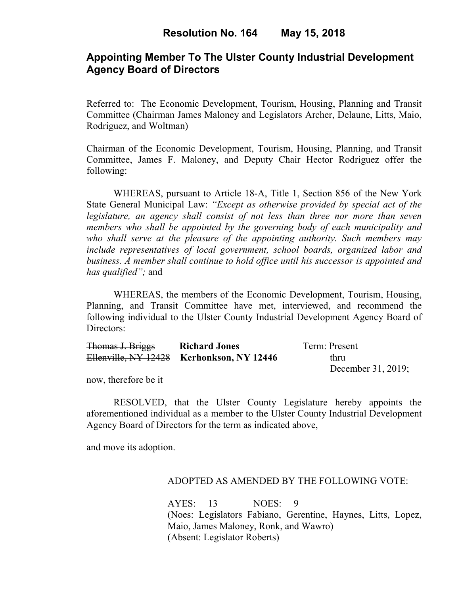# **Appointing Member To The Ulster County Industrial Development Agency Board of Directors**

Referred to: The Economic Development, Tourism, Housing, Planning and Transit Committee (Chairman James Maloney and Legislators Archer, Delaune, Litts, Maio, Rodriguez, and Woltman)

Chairman of the Economic Development, Tourism, Housing, Planning, and Transit Committee, James F. Maloney, and Deputy Chair Hector Rodriguez offer the following:

WHEREAS, pursuant to Article 18-A, Title 1, Section 856 of the New York State General Municipal Law: *"Except as otherwise provided by special act of the legislature, an agency shall consist of not less than three nor more than seven members who shall be appointed by the governing body of each municipality and who shall serve at the pleasure of the appointing authority. Such members may include representatives of local government, school boards, organized labor and business. A member shall continue to hold office until his successor is appointed and has qualified";* and

WHEREAS, the members of the Economic Development, Tourism, Housing, Planning, and Transit Committee have met, interviewed, and recommend the following individual to the Ulster County Industrial Development Agency Board of Directors:

| Thomas J. Briggs | <b>Richard Jones</b>                      | Term: Present      |
|------------------|-------------------------------------------|--------------------|
|                  | Ellenville, NY 12428 Kerhonkson, NY 12446 | thru               |
|                  |                                           | December 31, 2019; |

now, therefore be it

RESOLVED, that the Ulster County Legislature hereby appoints the aforementioned individual as a member to the Ulster County Industrial Development Agency Board of Directors for the term as indicated above,

and move its adoption.

### ADOPTED AS AMENDED BY THE FOLLOWING VOTE:

AYES: 13 NOES: 9 (Noes: Legislators Fabiano, Gerentine, Haynes, Litts, Lopez, Maio, James Maloney, Ronk, and Wawro) (Absent: Legislator Roberts)